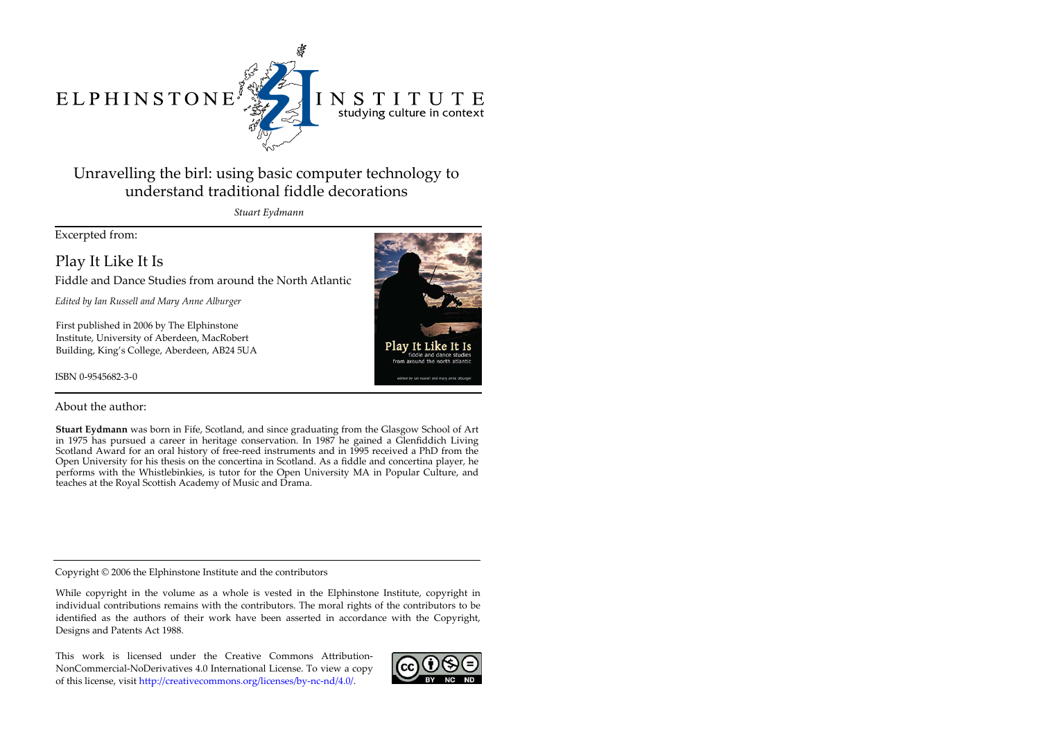# ELPHINSTONE



# INSTITUTE studying culture in context

# Unravelling the birl: using basic computer technology to understand traditional fiddle decorations

*Stuart Eydmann*

Excerpted from:

Play It Like It Is

Fiddle and Dance Studies from around the North Atlantic

*Edited by Ian Russell and Mary Anne Alburger*

First published in 2006 by The Elphinstone Institute, University of Aberdeen, MacRobert Building, King's College, Aberdeen, AB24 5UA

ISBN 0-9545682-3-0



# About the author:

**Stuart Eydmann** was born in Fife, Scotland, and since graduating from the Glasgow School of Art in 1975 has pursued a career in heritage conservation. In 1987 he gained a Glenfiddich Living Scotland Award for an oral history of free-reed instruments and in 1995 received a PhD from the Open University for his thesis on the concertina in Scotland. As a fiddle and concertina player, he performs with the Whistlebinkies, is tutor for the Open University MA in Popular Culture, and teaches at the Royal Scottish Academy of Music and Drama.

Copyright © 2006 the Elphinstone Institute and the contributors

While copyright in the volume as a whole is vested in the Elphinstone Institute, copyright in individual contributions remains with the contributors. The moral rights of the contributors to be identified as the authors of their work have been asserted in accordance with the Copyright, Designs and Patents Act 1988.

This work is licensed under the Creative Commons Attribution-NonCommercial-NoDerivatives 4.0 International License. To view a copy of this license, visit http://creativecommons.org/licenses/by-nc-nd/4.0/.

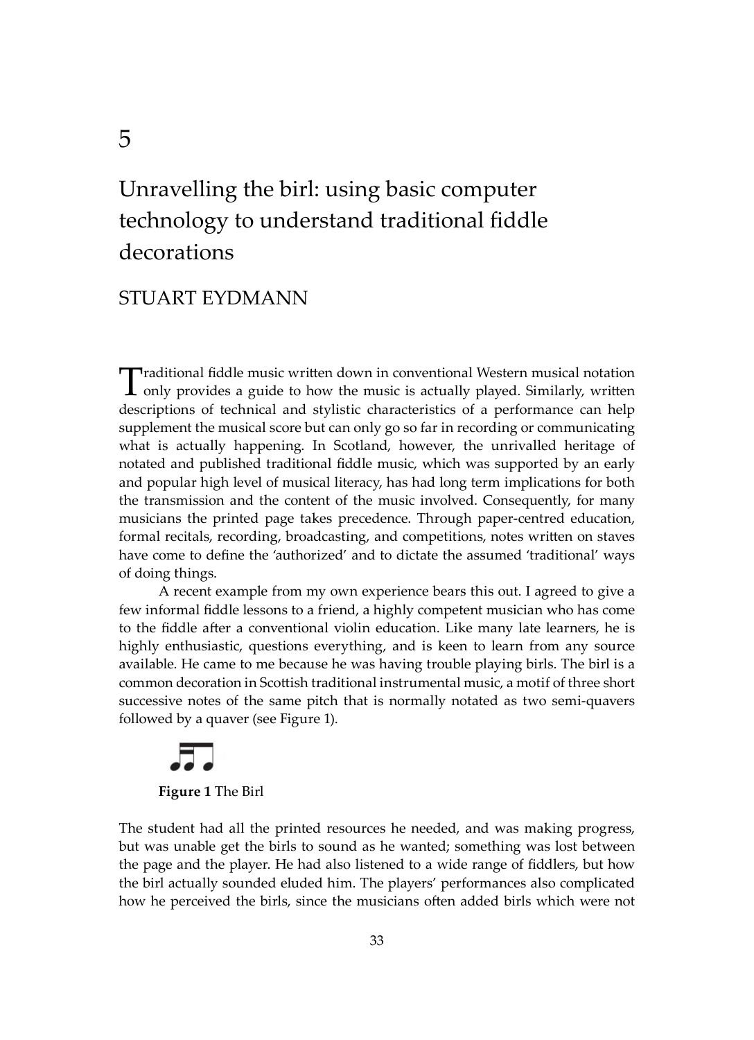# Unravelling the birl: using basic computer technology to understand traditional fiddle decorations

# STUART EYDMANN

Traditional fiddle music written down in conventional Western musical notation<br>only provides a guide to how the music is actually played. Similarly, written descriptions of technical and stylistic characteristics of a performance can help supplement the musical score but can only go so far in recording or communicating what is actually happening. In Scotland, however, the unrivalled heritage of notated and published traditional fiddle music, which was supported by an early and popular high level of musical literacy, has had long term implications for both the transmission and the content of the music involved. Consequently, for many musicians the printed page takes precedence. Through paper-centred education, formal recitals, recording, broadcasting, and competitions, notes written on staves have come to define the 'authorized' and to dictate the assumed 'traditional' ways of doing things.

A recent example from my own experience bears this out. I agreed to give a few informal fiddle lessons to a friend, a highly competent musician who has come to the fiddle after a conventional violin education. Like many late learners, he is highly enthusiastic, questions everything, and is keen to learn from any source available. He came to me because he was having trouble playing birls. The birl is a common decoration in Sco�ish traditional instrumental music, a motif of three short successive notes of the same pitch that is normally notated as two semi-quavers followed by a quaver (see Figure 1).

**Figure 1** The Birl

The student had all the printed resources he needed, and was making progress, but was unable get the birls to sound as he wanted; something was lost between the page and the player. He had also listened to a wide range of fiddlers, but how the birl actually sounded eluded him. The players' performances also complicated how he perceived the birls, since the musicians often added birls which were not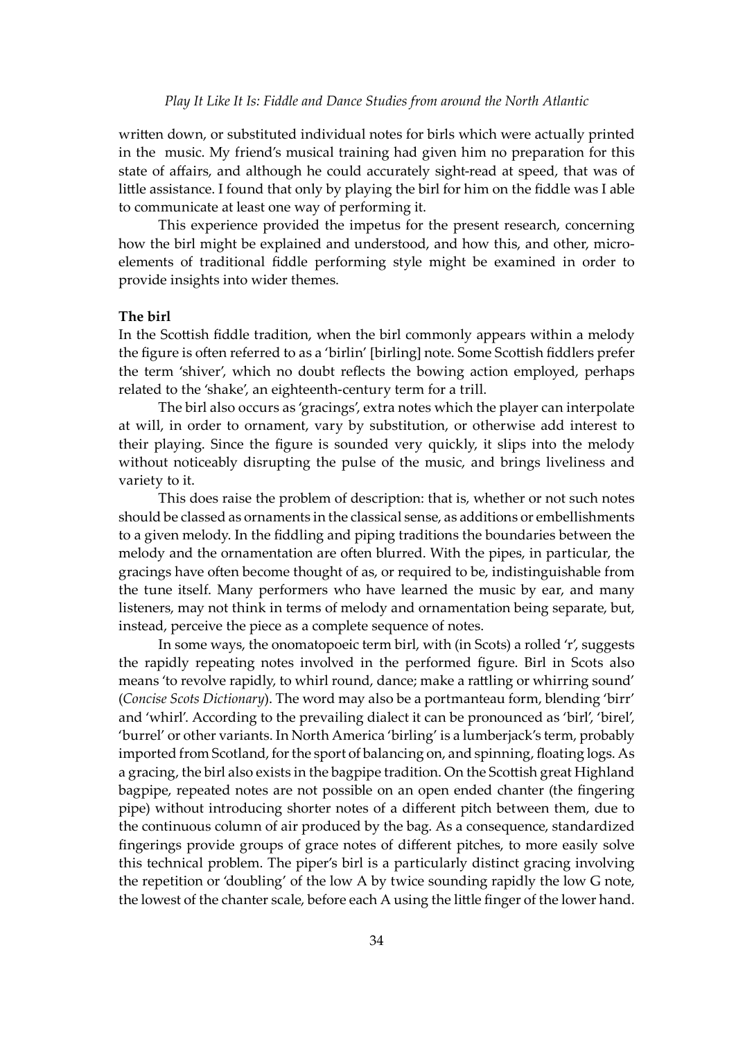written down, or substituted individual notes for birls which were actually printed in the music. My friend's musical training had given him no preparation for this state of affairs, and although he could accurately sight-read at speed, that was of little assistance. I found that only by playing the birl for him on the fiddle was I able to communicate at least one way of performing it.

This experience provided the impetus for the present research, concerning how the birl might be explained and understood, and how this, and other, microelements of traditional fiddle performing style might be examined in order to provide insights into wider themes.

### **The birl**

In the Scottish fiddle tradition, when the birl commonly appears within a melody the figure is often referred to as a 'birlin' [birling] note. Some Scottish fiddlers prefer the term 'shiver', which no doubt reflects the bowing action employed, perhaps related to the 'shake', an eighteenth-century term for a trill.

The birl also occurs as 'gracings', extra notes which the player can interpolate at will, in order to ornament, vary by substitution, or otherwise add interest to their playing. Since the figure is sounded very quickly, it slips into the melody without noticeably disrupting the pulse of the music, and brings liveliness and variety to it.

This does raise the problem of description: that is, whether or not such notes should be classed as ornaments in the classical sense, as additions or embellishments to a given melody. In the fiddling and piping traditions the boundaries between the melody and the ornamentation are often blurred. With the pipes, in particular, the gracings have o�en become thought of as, or required to be, indistinguishable from the tune itself. Many performers who have learned the music by ear, and many listeners, may not think in terms of melody and ornamentation being separate, but, instead, perceive the piece as a complete sequence of notes.

In some ways, the onomatopoeic term birl, with (in Scots) a rolled 'r', suggests the rapidly repeating notes involved in the performed figure. Birl in Scots also means 'to revolve rapidly, to whirl round, dance; make a rattling or whirring sound' (*Concise Scots Dictionary*). The word may also be a portmanteau form, blending 'birr' and 'whirl'. According to the prevailing dialect it can be pronounced as 'birl', 'birel', 'burrel' or other variants. In North America 'birling' is a lumberjack's term, probably imported from Scotland, for the sport of balancing on, and spinning, floating logs. As a gracing, the birl also exists in the bagpipe tradition. On the Scottish great Highland bagpipe, repeated notes are not possible on an open ended chanter (the fingering pipe) without introducing shorter notes of a different pitch between them, due to the continuous column of air produced by the bag. As a consequence, standardized fingerings provide groups of grace notes of different pitches, to more easily solve this technical problem. The piper's birl is a particularly distinct gracing involving the repetition or 'doubling' of the low A by twice sounding rapidly the low G note, the lowest of the chanter scale, before each A using the little finger of the lower hand.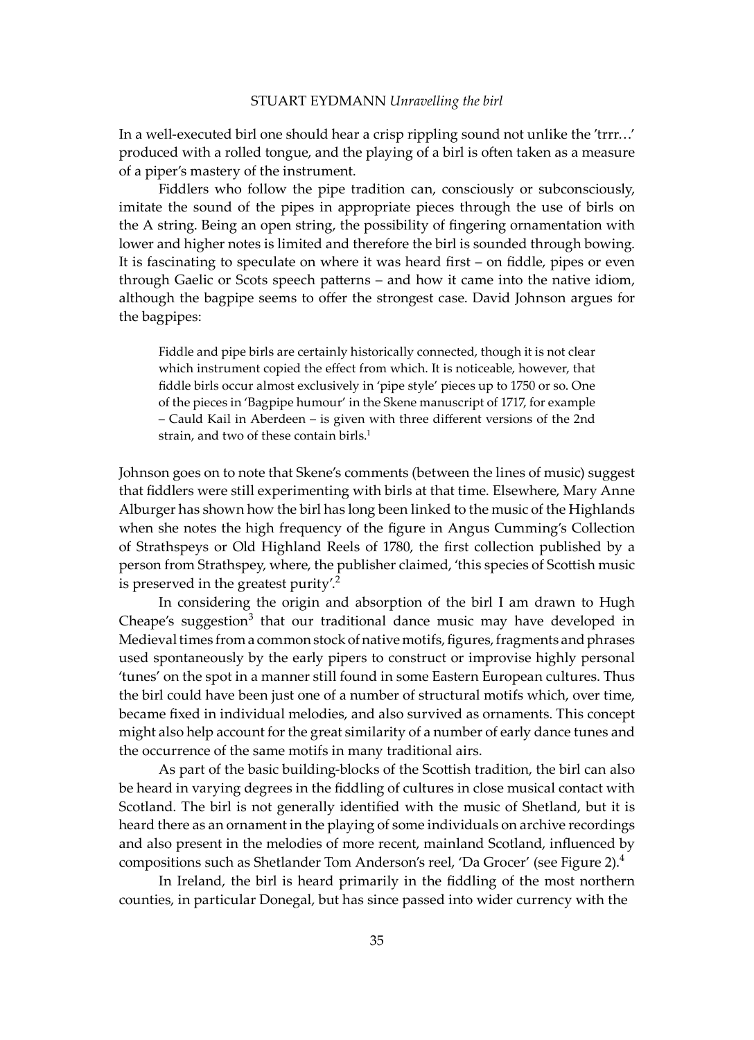In a well-executed birl one should hear a crisp rippling sound not unlike the 'trrr…' produced with a rolled tongue, and the playing of a birl is o�en taken as a measure of a piper's mastery of the instrument.

Fiddlers who follow the pipe tradition can, consciously or subconsciously, imitate the sound of the pipes in appropriate pieces through the use of birls on the A string. Being an open string, the possibility of fingering ornamentation with lower and higher notes is limited and therefore the birl is sounded through bowing. It is fascinating to speculate on where it was heard first – on fiddle, pipes or even through Gaelic or Scots speech pa�erns – and how it came into the native idiom, although the bagpipe seems to offer the strongest case. David Johnson argues for the bagpipes:

Fiddle and pipe birls are certainly historically connected, though it is not clear which instrument copied the effect from which. It is noticeable, however, that fiddle birls occur almost exclusively in 'pipe style' pieces up to 1750 or so. One of the pieces in 'Bagpipe humour' in the Skene manuscript of 1717, for example – Cauld Kail in Aberdeen – is given with three different versions of the 2nd strain, and two of these contain birls.<sup>1</sup>

Johnson goes on to note that Skene's comments (between the lines of music) suggest that fiddlers were still experimenting with birls at that time. Elsewhere, Mary Anne Alburger has shown how the birl has long been linked to the music of the Highlands when she notes the high frequency of the figure in Angus Cumming's Collection of Strathspeys or Old Highland Reels of 1780, the first collection published by a person from Strathspey, where, the publisher claimed, 'this species of Sco�ish music is preserved in the greatest purity'.<sup>2</sup>

In considering the origin and absorption of the birl I am drawn to Hugh Cheape's suggestion<sup>3</sup> that our traditional dance music may have developed in Medieval times from a common stock of native motifs, figures, fragments and phrases used spontaneously by the early pipers to construct or improvise highly personal 'tunes' on the spot in a manner still found in some Eastern European cultures. Thus the birl could have been just one of a number of structural motifs which, over time, became fixed in individual melodies, and also survived as ornaments. This concept might also help account for the great similarity of a number of early dance tunes and the occurrence of the same motifs in many traditional airs.

As part of the basic building-blocks of the Scottish tradition, the birl can also be heard in varying degrees in the fiddling of cultures in close musical contact with Scotland. The birl is not generally identified with the music of Shetland, but it is heard there as an ornament in the playing of some individuals on archive recordings and also present in the melodies of more recent, mainland Scotland, influenced by compositions such as Shetlander Tom Anderson's reel, 'Da Grocer' (see Figure 2).4

In Ireland, the birl is heard primarily in the fiddling of the most northern counties, in particular Donegal, but has since passed into wider currency with the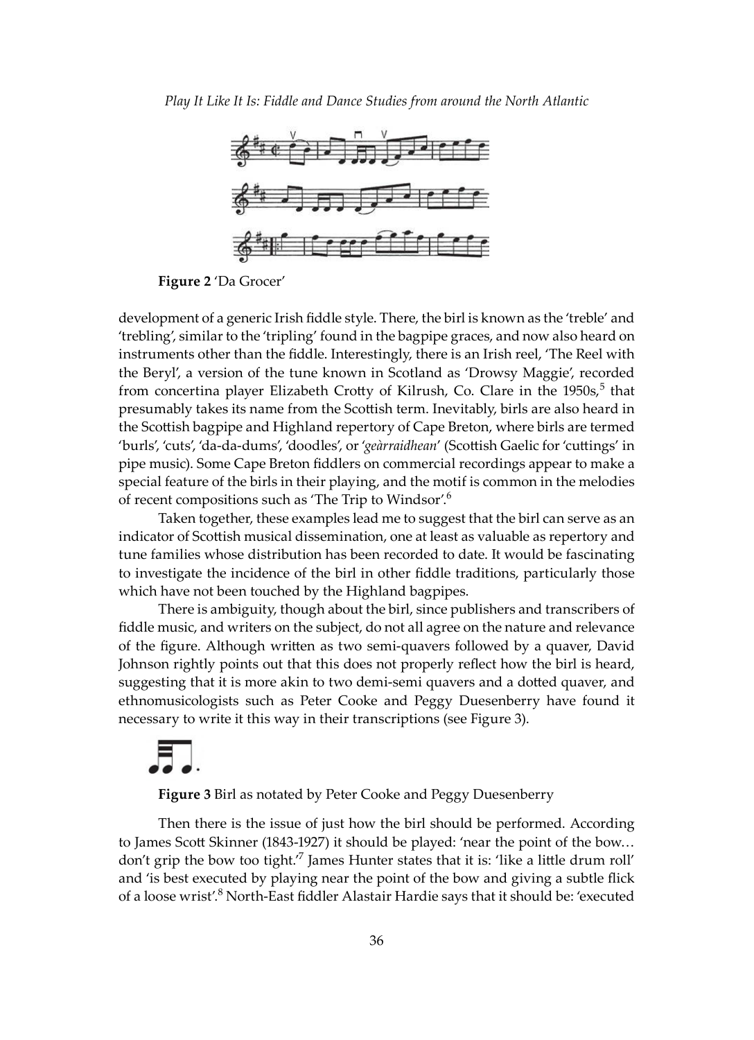

**Figure 2** 'Da Grocer'

development of a generic Irish fiddle style. There, the birl is known as the 'treble' and 'trebling', similar to the 'tripling' found in the bagpipe graces, and now also heard on instruments other than the fiddle. Interestingly, there is an Irish reel, 'The Reel with the Beryl', a version of the tune known in Scotland as 'Drowsy Maggie', recorded from concertina player Elizabeth Crotty of Kilrush, Co. Clare in the 1950s,<sup>5</sup> that presumably takes its name from the Sco�ish term. Inevitably, birls are also heard in the Scottish bagpipe and Highland repertory of Cape Breton, where birls are termed 'burls', 'cuts', 'da-da-dums', 'doodles', or '*geàrraidhean*' (Sco�ish Gaelic for 'cu�ings' in pipe music). Some Cape Breton fiddlers on commercial recordings appear to make a special feature of the birls in their playing, and the motif is common in the melodies of recent compositions such as 'The Trip to Windsor'.<sup>6</sup>

Taken together, these examples lead me to suggest that the birl can serve as an indicator of Scottish musical dissemination, one at least as valuable as repertory and tune families whose distribution has been recorded to date. It would be fascinating to investigate the incidence of the birl in other fiddle traditions, particularly those which have not been touched by the Highland bagpipes.

There is ambiguity, though about the birl, since publishers and transcribers of fiddle music, and writers on the subject, do not all agree on the nature and relevance of the figure. Although wri�en as two semi-quavers followed by a quaver, David Johnson rightly points out that this does not properly reflect how the birl is heard, suggesting that it is more akin to two demi-semi quavers and a dotted quaver, and ethnomusicologists such as Peter Cooke and Peggy Duesenberry have found it necessary to write it this way in their transcriptions (see Figure 3).

**Figure 3** Birl as notated by Peter Cooke and Peggy Duesenberry

Then there is the issue of just how the birl should be performed. According to James Scott Skinner (1843-1927) it should be played: 'near the point of the bow... don't grip the bow too tight.<sup> $7$ </sup> James Hunter states that it is: 'like a little drum roll' and 'is best executed by playing near the point of the bow and giving a subtle flick of a loose wrist'.<sup>8</sup> North-East fiddler Alastair Hardie says that it should be: 'executed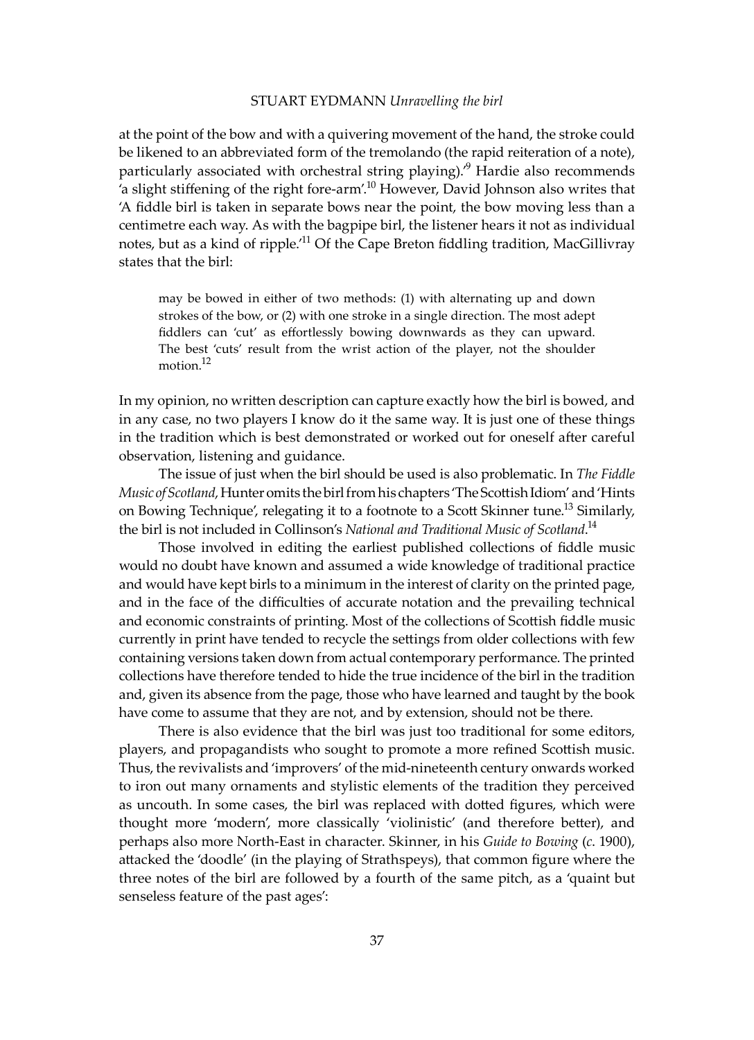### STUART EYDMANN *Unravelling the birl*

at the point of the bow and with a quivering movement of the hand, the stroke could be likened to an abbreviated form of the tremolando (the rapid reiteration of a note), particularly associated with orchestral string playing).<sup>9</sup> Hardie also recommends 'a slight stiffening of the right fore-arm'.10 However, David Johnson also writes that 'A fiddle birl is taken in separate bows near the point, the bow moving less than a centimetre each way. As with the bagpipe birl, the listener hears it not as individual notes, but as a kind of ripple.<sup>11</sup> Of the Cape Breton fiddling tradition, MacGillivray states that the birl:

may be bowed in either of two methods: (1) with alternating up and down strokes of the bow, or (2) with one stroke in a single direction. The most adept fiddlers can 'cut' as effortlessly bowing downwards as they can upward. The best 'cuts' result from the wrist action of the player, not the shoulder motion.<sup>12</sup>

In my opinion, no written description can capture exactly how the birl is bowed, and in any case, no two players I know do it the same way. It is just one of these things in the tradition which is best demonstrated or worked out for oneself a�er careful observation, listening and guidance.

The issue of just when the birl should be used is also problematic. In *The Fiddle Music of Scotland*, Hunter omits the birl from his chapters 'The Sco�ish Idiom' and 'Hints on Bowing Technique', relegating it to a footnote to a Scott Skinner tune.<sup>13</sup> Similarly, the birl is not included in Collinson's *National and Traditional Music of Scotland*. 14

Those involved in editing the earliest published collections of fiddle music would no doubt have known and assumed a wide knowledge of traditional practice and would have kept birls to a minimum in the interest of clarity on the printed page, and in the face of the difficulties of accurate notation and the prevailing technical and economic constraints of printing. Most of the collections of Scottish fiddle music currently in print have tended to recycle the se�ings from older collections with few containing versions taken down from actual contemporary performance. The printed collections have therefore tended to hide the true incidence of the birl in the tradition and, given its absence from the page, those who have learned and taught by the book have come to assume that they are not, and by extension, should not be there.

There is also evidence that the birl was just too traditional for some editors, players, and propagandists who sought to promote a more refined Sco�ish music. Thus, the revivalists and 'improvers' of the mid-nineteenth century onwards worked to iron out many ornaments and stylistic elements of the tradition they perceived as uncouth. In some cases, the birl was replaced with do�ed figures, which were thought more 'modern', more classically 'violinistic' (and therefore be�er), and perhaps also more North-East in character. Skinner, in his *Guide to Bowing* (*c*. 1900), a�acked the 'doodle' (in the playing of Strathspeys), that common figure where the three notes of the birl are followed by a fourth of the same pitch, as a 'quaint but senseless feature of the past ages':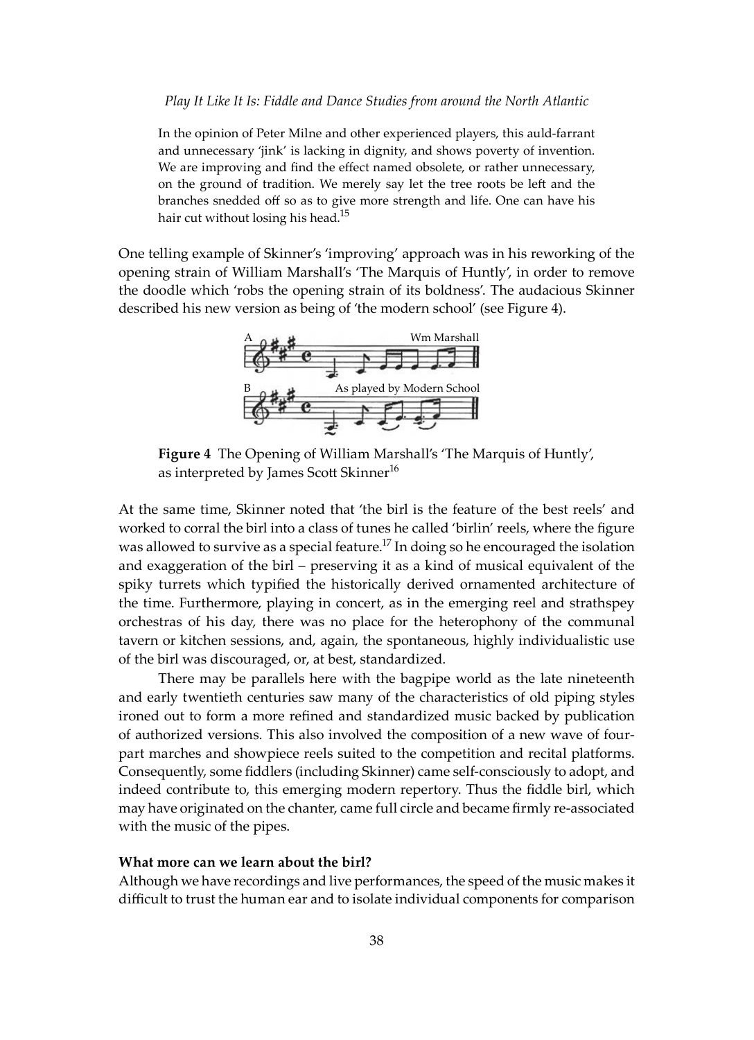In the opinion of Peter Milne and other experienced players, this auld-farrant and unnecessary 'jink' is lacking in dignity, and shows poverty of invention. We are improving and find the effect named obsolete, or rather unnecessary, on the ground of tradition. We merely say let the tree roots be left and the branches snedded off so as to give more strength and life. One can have his hair cut without losing his head.<sup>15</sup>

One telling example of Skinner's 'improving' approach was in his reworking of the opening strain of William Marshall's 'The Marquis of Huntly', in order to remove the doodle which 'robs the opening strain of its boldness'. The audacious Skinner described his new version as being of 'the modern school' (see Figure 4).



**Figure 4** The Opening of William Marshall's 'The Marquis of Huntly', as interpreted by James Scott Skinner<sup>16</sup>

At the same time, Skinner noted that 'the birl is the feature of the best reels' and worked to corral the birl into a class of tunes he called 'birlin' reels, where the figure was allowed to survive as a special feature.<sup>17</sup> In doing so he encouraged the isolation and exaggeration of the birl – preserving it as a kind of musical equivalent of the spiky turrets which typified the historically derived ornamented architecture of the time. Furthermore, playing in concert, as in the emerging reel and strathspey orchestras of his day, there was no place for the heterophony of the communal tavern or kitchen sessions, and, again, the spontaneous, highly individualistic use of the birl was discouraged, or, at best, standardized.

There may be parallels here with the bagpipe world as the late nineteenth and early twentieth centuries saw many of the characteristics of old piping styles ironed out to form a more refined and standardized music backed by publication of authorized versions. This also involved the composition of a new wave of fourpart marches and showpiece reels suited to the competition and recital platforms. Consequently, some fiddlers (including Skinner) came self-consciously to adopt, and indeed contribute to, this emerging modern repertory. Thus the fiddle birl, which may have originated on the chanter, came full circle and became firmly re-associated with the music of the pipes.

### **What more can we learn about the birl?**

Although we have recordings and live performances, the speed of the music makes it difficult to trust the human ear and to isolate individual components for comparison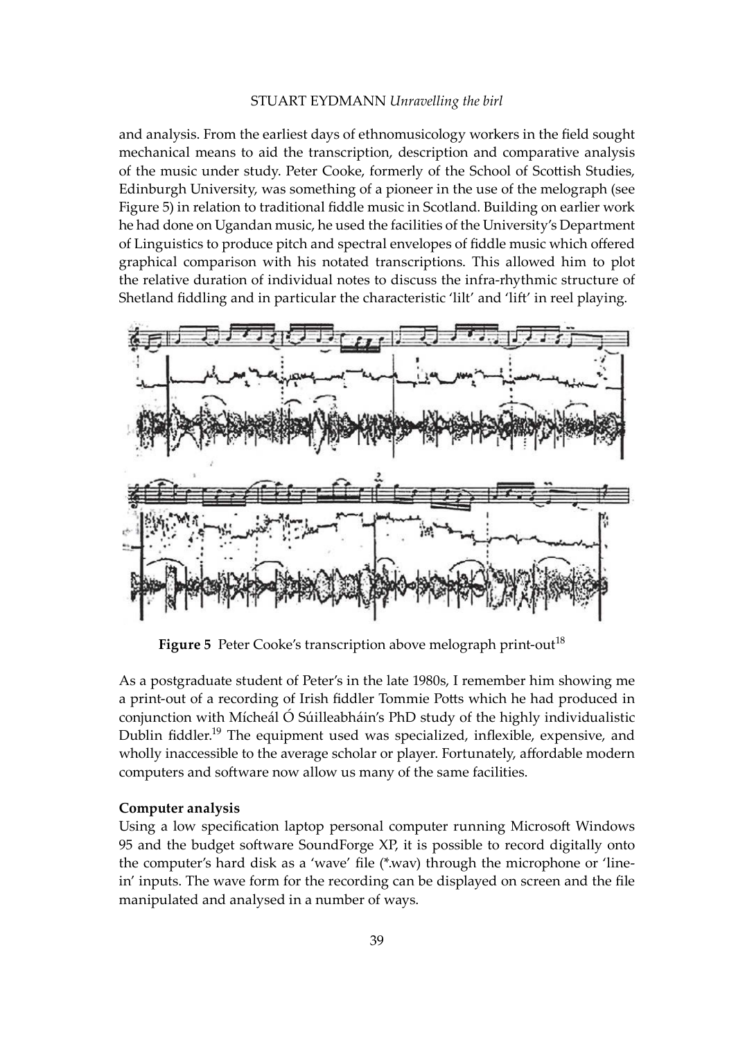### STUART EYDMANN *Unravelling the birl*

and analysis. From the earliest days of ethnomusicology workers in the field sought mechanical means to aid the transcription, description and comparative analysis of the music under study. Peter Cooke, formerly of the School of Scottish Studies, Edinburgh University, was something of a pioneer in the use of the melograph (see Figure 5) in relation to traditional fiddle music in Scotland. Building on earlier work he had done on Ugandan music, he used the facilities of the University's Department of Linguistics to produce pitch and spectral envelopes of fiddle music which offered graphical comparison with his notated transcriptions. This allowed him to plot the relative duration of individual notes to discuss the infra-rhythmic structure of Shetland fiddling and in particular the characteristic 'lilt' and 'lift' in reel playing.



Figure 5 Peter Cooke's transcription above melograph print-out<sup>18</sup>

As a postgraduate student of Peter's in the late 1980s, I remember him showing me a print-out of a recording of Irish fiddler Tommie Potts which he had produced in conjunction with Mícheál Ó Súilleabháin's PhD study of the highly individualistic Dublin fiddler.19 The equipment used was specialized, inflexible, expensive, and wholly inaccessible to the average scholar or player. Fortunately, affordable modern computers and software now allow us many of the same facilities.

# **Computer analysis**

Using a low specification laptop personal computer running Microsoft Windows 95 and the budget software SoundForge XP, it is possible to record digitally onto the computer's hard disk as a 'wave' file (\*.wav) through the microphone or 'linein' inputs. The wave form for the recording can be displayed on screen and the file manipulated and analysed in a number of ways.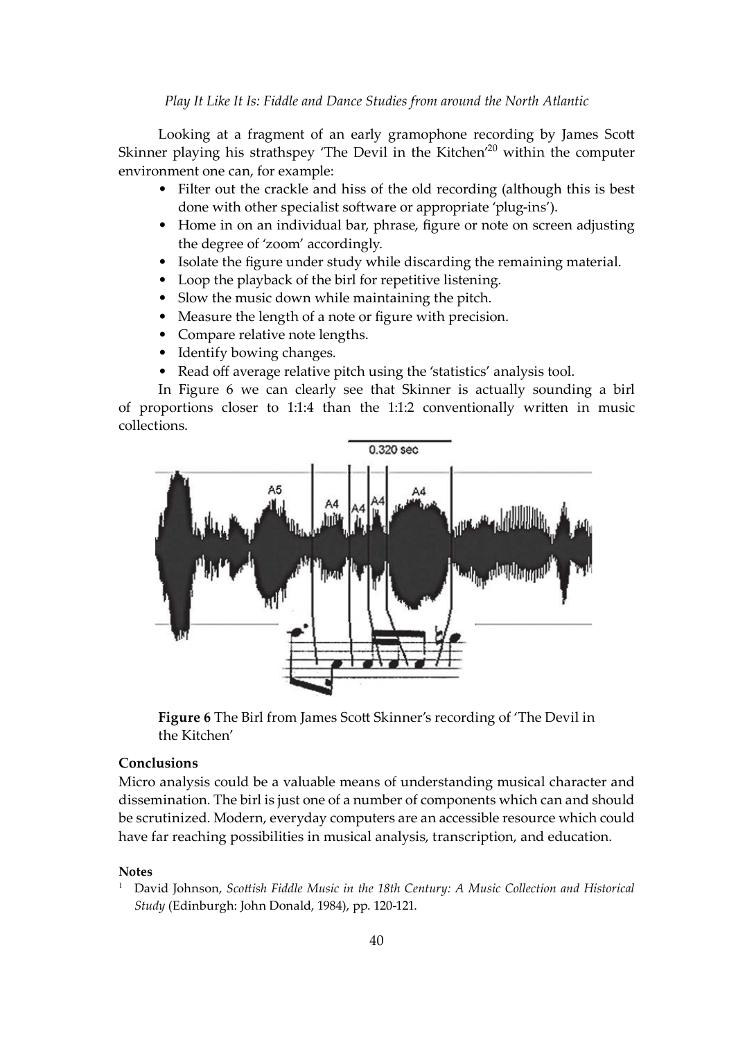Looking at a fragment of an early gramophone recording by James Scott Skinner playing his strathspey 'The Devil in the Kitchen'<sup>20</sup> within the computer environment one can, for example:

- Filter out the crackle and hiss of the old recording (although this is best done with other specialist software or appropriate 'plug-ins').
- Home in on an individual bar, phrase, figure or note on screen adjusting the degree of 'zoom' accordingly.
- Isolate the figure under study while discarding the remaining material.
- Loop the playback of the birl for repetitive listening.
- Slow the music down while maintaining the pitch.
- Measure the length of a note or figure with precision.
- Compare relative note lengths.
- Identify bowing changes.
- Read off average relative pitch using the 'statistics' analysis tool.

In Figure 6 we can clearly see that Skinner is actually sounding a birl of proportions closer to 1:1:4 than the 1:1:2 conventionally wri�en in music collections.



Figure 6 The Birl from James Scott Skinner's recording of 'The Devil in the Kitchen'

# **Conclusions**

Micro analysis could be a valuable means of understanding musical character and dissemination. The birl is just one of a number of components which can and should be scrutinized. Modern, everyday computers are an accessible resource which could have far reaching possibilities in musical analysis, transcription, and education.

# **Notes**

1 David Johnson, *Sco�ish Fiddle Music in the 18th Century: A Music Collection and Historical Study* (Edinburgh: John Donald, 1984), pp. 120-121.